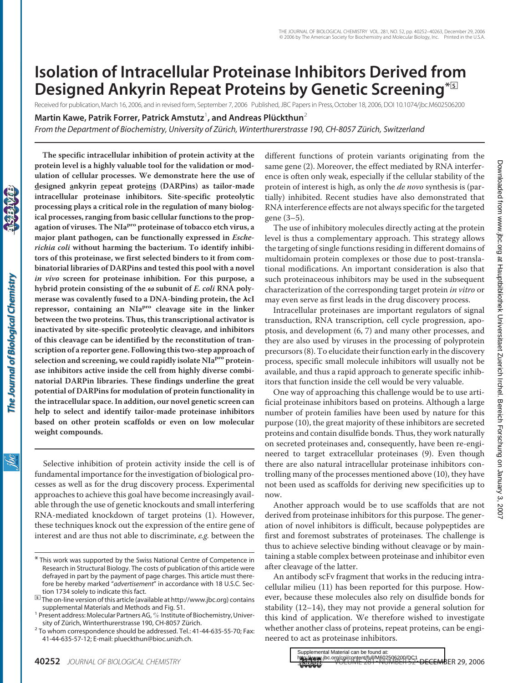# **Isolation of Intracellular Proteinase Inhibitors Derived from Designed Ankyrin Repeat Proteins by Genetic Screening<sup>\*⊠</sup>**

Received for publication, March 16, 2006, and in revised form, September 7, 2006 Published, JBC Papers in Press,October 18, 2006, DOI 10.1074/jbc.M602506200 **Martin Kawe, Patrik Forrer, Patrick Amstutz<sup>1</sup>, and Andreas Plückthun<sup>2</sup>** 

*From the Department of Biochemistry, University of Zu¨rich, Winterthurerstrasse 190, CH-8057 Zu¨rich, Switzerland*

ŇС

**protein level is a highly valuable tool for the validation or modulation of cellular processes. We demonstrate here the use of designed ankyrin repeat proteins (DARPins) as tailor-made intracellular proteinase inhibitors. Site-specific proteolytic processing plays a critical role in the regulation of many biological processes, ranging from basic cellular functions to the propagation of viruses. The NIapro proteinase of tobacco etch virus, a major plant pathogen, can be functionally expressed in** *Escherichia coli* **without harming the bacterium. To identify inhibitors of this proteinase, we first selected binders to it from combinatorial libraries of DARPins and tested this pool with a novel** *in vivo* **screen for proteinase inhibition. For this purpose, a** hybrid protein consisting of the  $\omega$  subunit of *E. coli* RNA polymerase was covalently fused to a DNA-binding protein, the  $\lambda$ cI **repressor, containing an NIapro cleavage site in the linker between the two proteins. Thus, this transcriptional activator is inactivated by site-specific proteolytic cleavage, and inhibitors of this cleavage can be identified by the reconstitution of transcription of a reporter gene. Following this two-step approach of selection and screening, we could rapidly isolate NIapro proteinase inhibitors active inside the cell from highly diverse combinatorial DARPin libraries. These findings underline the great potential of DARPins for modulation of protein functionality in the intracellular space. In addition, our novel genetic screen can help to select and identify tailor-made proteinase inhibitors based on other protein scaffolds or even on low molecular weight compounds.**

**The specific intracellular inhibition of protein activity at the**

Selective inhibition of protein activity inside the cell is of fundamental importance for the investigation of biological processes as well as for the drug discovery process. Experimental approaches to achieve this goal have become increasingly available through the use of genetic knockouts and small interfering RNA-mediated knockdown of target proteins (1). However, these techniques knock out the expression of the entire gene of interest and are thus not able to discriminate, *e.g.* between the different functions of protein variants originating from the same gene (2). Moreover, the effect mediated by RNA interference is often only weak, especially if the cellular stability of the protein of interest is high, as only the *de novo* synthesis is (partially) inhibited. Recent studies have also demonstrated that RNA interference effects are not always specific for the targeted gene (3–5).

The use of inhibitory molecules directly acting at the protein level is thus a complementary approach. This strategy allows the targeting of single functions residing in different domains of multidomain protein complexes or those due to post-translational modifications. An important consideration is also that such proteinaceous inhibitors may be used in the subsequent characterization of the corresponding target protein *in vitro* or may even serve as first leads in the drug discovery process.

Intracellular proteinases are important regulators of signal transduction, RNA transcription, cell cycle progression, apoptosis, and development (6, 7) and many other processes, and they are also used by viruses in the processing of polyprotein precursors (8). To elucidate their function early in the discovery process, specific small molecule inhibitors will usually not be available, and thus a rapid approach to generate specific inhibitors that function inside the cell would be very valuable.

One way of approaching this challenge would be to use artificial proteinase inhibitors based on proteins. Although a large number of protein families have been used by nature for this purpose (10), the great majority of these inhibitors are secreted proteins and contain disulfide bonds. Thus, they work naturally on secreted proteinases and, consequently, have been re-engineered to target extracellular proteinases (9). Even though there are also natural intracellular proteinase inhibitors controlling many of the processes mentioned above (10), they have not been used as scaffolds for deriving new specificities up to now.

Another approach would be to use scaffolds that are not derived from proteinase inhibitors for this purpose. The generation of novel inhibitors is difficult, because polypeptides are first and foremost substrates of proteinases. The challenge is thus to achieve selective binding without cleavage or by maintaining a stable complex between proteinase and inhibitor even after cleavage of the latter.

An antibody scFv fragment that works in the reducing intracellular milieu (11) has been reported for this purpose. However, because these molecules also rely on disulfide bonds for stability (12–14), they may not provide a general solution for this kind of application. We therefore wished to investigate whether another class of proteins, repeat proteins, can be engineered to act as proteinase inhibitors.

<sup>\*</sup> This work was supported by the Swiss National Centre of Competence in Research in Structural Biology. The costs of publication of this article were defrayed in part by the payment of page charges. This article must therefore be hereby marked "*advertisement*" in accordance with 18 U.S.C. Sec-

tion 1734 solely to indicate this fact.<br><sup>**<u>I</u>S** The on-line version of this article (available at http://www.jbc.org) contains<br>supplemental Materials and Methods and Fig. S1.</sup>

supplemental Materials and Methods and Fig. S1.<br><sup>1</sup> Present address: Molecular Partners AG, % Institute of Biochemistry, Univer-

sity of Zürich, Winterthurerstrasse 190, CH-8057 Zürich.<br><sup>2</sup> To whom correspondence should be addressed. Tel.: 41-44-635-55-70; Fax: 41-44-635-57-12; E-mail: plueckthun@bioc.unizh.ch.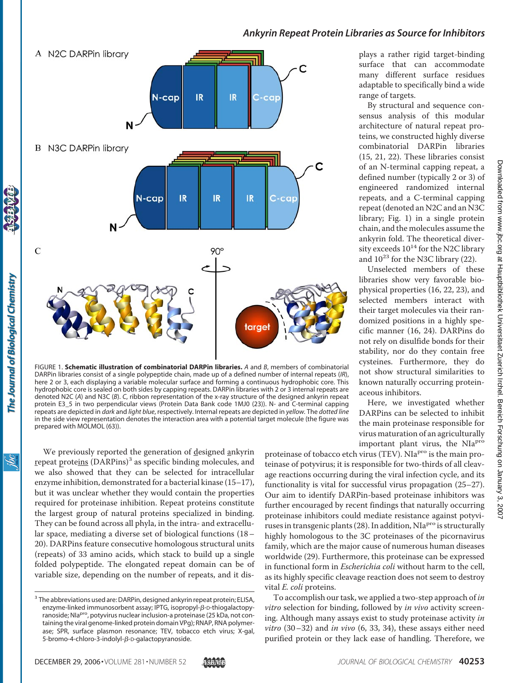

FIGURE 1. **Schematic illustration of combinatorial DARPin libraries.** *A* and *B*, members of combinatorial DARPin libraries consist of a single polypeptide chain, made up of a defined number of internal repeats (*IR*), here 2 or 3, each displaying a variable molecular surface and forming a continuous hydrophobic core. This hydrophobic core is sealed on both sides by capping repeats. DARPin libraries with 2 or 3 internal repeats are denoted N2C (*A*) and N3C (*B*). *C*, ribbon representation of the x-ray structure of the designed ankyrin repeat protein E3\_5 in two perpendicular views (Protein Data Bank code 1MJ0 (23)). N- and C-terminal capping repeats are depicted in *dark* and *light blue*, respectively. Internal repeats are depicted in *yellow.* The *dotted line* in the side view representation denotes the interaction area with a potential target molecule (the figure was prepared with MOLMOL (63)).

We previously reported the generation of designed ankyrin repeat proteins (DARPins)<sup>3</sup> as specific binding molecules, and we also showed that they can be selected for intracellular enzyme inhibition, demonstrated for a bacterial kinase (15–17), but it was unclear whether they would contain the properties required for proteinase inhibition. Repeat proteins constitute the largest group of natural proteins specialized in binding. They can be found across all phyla, in the intra- and extracellular space, mediating a diverse set of biological functions (18– 20). DARPins feature consecutive homologous structural units (repeats) of 33 amino acids, which stack to build up a single folded polypeptide. The elongated repeat domain can be of variable size, depending on the number of repeats, and it displays a rather rigid target-binding surface that can accommodate many different surface residues adaptable to specifically bind a wide range of targets.

By structural and sequence consensus analysis of this modular architecture of natural repeat proteins, we constructed highly diverse combinatorial DARPin libraries (15, 21, 22). These libraries consist of an N-terminal capping repeat, a defined number (typically 2 or 3) of engineered randomized internal repeats, and a C-terminal capping repeat (denoted an N2C and an N3C library; Fig. 1) in a single protein chain, and the molecules assume the ankyrin fold. The theoretical diversity exceeds  $10^{14}$  for the N2C library and  $10^{23}$  for the N3C library (22).

Unselected members of these libraries show very favorable biophysical properties (16, 22, 23), and selected members interact with their target molecules via their randomized positions in a highly specific manner (16, 24). DARPins do not rely on disulfide bonds for their stability, nor do they contain free cysteines. Furthermore, they do not show structural similarities to known naturally occurring proteinaceous inhibitors.

Here, we investigated whether DARPins can be selected to inhibit the main proteinase responsible for virus maturation of an agriculturally important plant virus, the NIapro

proteinase of tobacco etch virus (TEV). NIa<sup>pro</sup> is the main proteinase of potyvirus; it is responsible for two-thirds of all cleavage reactions occurring during the viral infection cycle, and its functionality is vital for successful virus propagation (25–27). Our aim to identify DARPin-based proteinase inhibitors was further encouraged by recent findings that naturally occurring proteinase inhibitors could mediate resistance against potyviruses in transgenic plants (28). In addition, NIa<sup>pro</sup> is structurally highly homologous to the 3C proteinases of the picornavirus family, which are the major cause of numerous human diseases worldwide (29). Furthermore, this proteinase can be expressed in functional form in *Escherichia coli* without harm to the cell, as its highly specific cleavage reaction does not seem to destroy vital *E. coli* proteins.

To accomplish our task, we applied a two-step approach of *in vitro* selection for binding, followed by *in vivo* activity screening. Although many assays exist to study proteinase activity *in vitro* (30–32) and *in vivo* (6, 33, 34), these assays either need purified protein or they lack ease of handling. Therefore, we

The Journal of Biological Chemistry

<sup>&</sup>lt;sup>3</sup> The abbreviations used are: DARPin, designed ankyrin repeat protein; ELISA, enzyme-linked immunosorbent assay; IPTG, isopropyl- $\beta$ -D-thiogalactopyranoside; Nla<sup>pro</sup>, potyvirus nuclear inclusion-a proteinase (25 kDa, not containing the viral genome-linked protein domain VPg); RNAP, RNA polymerase; SPR, surface plasmon resonance; TEV, tobacco etch virus; X-gal, 5-bromo-4-chloro-3-indolyl- $\beta$ -D-galactopyranoside.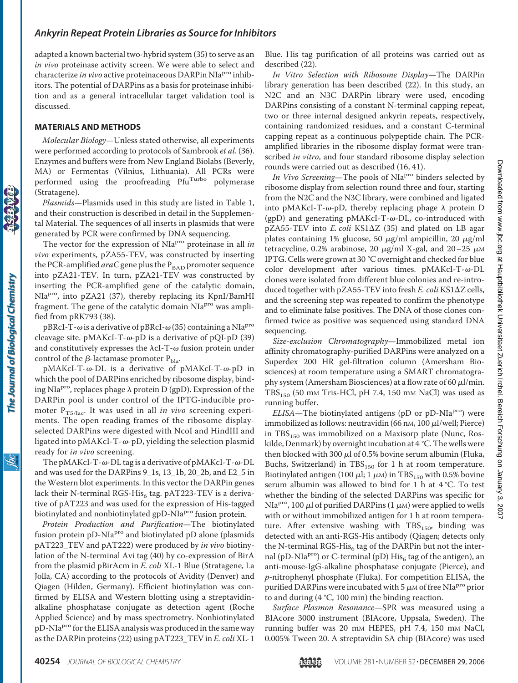adapted a known bacterial two-hybrid system (35) to serve as an *in vivo* proteinase activity screen. We were able to select and characterize *in vivo* active proteinaceous DARPin NIa<sup>pro</sup> inhibitors. The potential of DARPins as a basis for proteinase inhibition and as a general intracellular target validation tool is discussed.

### **MATERIALS AND METHODS**

*Molecular Biology*—Unless stated otherwise, all experiments were performed according to protocols of Sambrook *et al.* (36). Enzymes and buffers were from New England Biolabs (Beverly, MA) or Fermentas (Vilnius, Lithuania). All PCRs were performed using the proofreading Pfu<sup>Turbo</sup> polymerase (Stratagene).

*Plasmids*—Plasmids used in this study are listed in Table 1, and their construction is described in detail in the Supplemental Material. The sequences of all inserts in plasmids that were generated by PCR were confirmed by DNA sequencing.

The vector for the expression of NIapro proteinase in all *in vivo* experiments, pZA55-TEV, was constructed by inserting the PCR-amplified araC gene plus the P<sub>BAD</sub> promoter sequence into pZA21-TEV. In turn, pZA21-TEV was constructed by inserting the PCR-amplified gene of the catalytic domain, NIa<sup>pro</sup>, into pZA21 (37), thereby replacing its KpnI/BamHI fragment. The gene of the catalytic domain NIa<sup>pro</sup> was amplified from pRK793 (38).

pBRcI-T- $\omega$  is a derivative of pBRcI- $\omega$  (35) containing a NIa $^{\rm pro}$ cleavage site.  $p$ MAKcI-T- $\omega$ -pD is a derivative of pQI-pD (39) and constitutively expresses the  $\lambda$ cI-T- $\omega$  fusion protein under control of the  $\beta$ -lactamase promoter  $P_{bla}$ .

pMAKcI-T-ω-DL is a derivative of pMAKcI-T-ω-pD in which the pool of DARPins enriched by ribosome display, binding NIa<sup>pro</sup>, replaces phage  $\lambda$  protein D (gpD). Expression of the DARPin pool is under control of the IPTG-inducible promoter  $P_{T5/1ac}$ . It was used in all *in vivo* screening experiments. The open reading frames of the ribosome displayselected DARPins were digested with NcoI and HindIII and ligated into pMAKcI-T- $\omega$ -pD, yielding the selection plasmid ready for *in vivo* screening.

The pMAKcI-T- $\omega$ -DL tag is a derivative of pMAKcI-T- $\omega$ -DL and was used for the DARPins 9\_1s, 13\_1b, 20\_2b, and E2\_5 in the Western blot experiments. In this vector the DARPin genes lack their N-terminal RGS-His<sub>6</sub> tag. pAT223-TEV is a derivative of pAT223 and was used for the expression of His-tagged biotinylated and nonbiotinylated gpD-NIa<sup>pro</sup> fusion protein.

*Protein Production and Purification*—The biotinylated fusion protein pD-NIa<sup>pro</sup> and biotinylated pD alone (plasmids pAT223\_TEV and pAT222) were produced by *in vivo* biotinylation of the N-terminal Avi tag (40) by co-expression of BirA from the plasmid pBirAcm in *E. coli* XL-1 Blue (Stratagene, La Jolla, CA) according to the protocols of Avidity (Denver) and Qiagen (Hilden, Germany). Efficient biotinylation was confirmed by ELISA and Western blotting using a streptavidinalkaline phosphatase conjugate as detection agent (Roche Applied Science) and by mass spectrometry. Nonbiotinylated pD-NIa<sup>pro</sup> for the ELISA analysis was produced in the same way as the DARPin proteins (22) using pAT223\_TEV in *E. coli* XL-1

Blue. His tag purification of all proteins was carried out as described (22).

*In Vitro Selection with Ribosome Display*—The DARPin library generation has been described (22). In this study, an N2C and an N3C DARPin library were used, encoding DARPins consisting of a constant N-terminal capping repeat, two or three internal designed ankyrin repeats, respectively, containing randomized residues, and a constant C-terminal capping repeat as a continuous polypeptide chain. The PCRamplified libraries in the ribosome display format were transcribed *in vitro*, and four standard ribosome display selection rounds were carried out as described (16, 41).

*In Vivo Screening*—The pools of NIa<sup>pro</sup> binders selected by ribosome display from selection round three and four, starting from the N2C and the N3C library, were combined and ligated into pMAKcI-T- $\omega$ -pD, thereby replacing phage  $\lambda$  protein D (gpD) and generating  $p$ MAKcI-T- $\omega$ -DL, co-introduced with  $pZA55-TEV$  into *E. coli* KS1 $\Delta Z$  (35) and plated on LB agar plates containing 1% glucose, 50  $\mu$ g/ml ampicillin, 20  $\mu$ g/ml tetracycline, 0.2% arabinose, 20  $\mu$ g/ml X-gal, and 20–25  $\mu$ M IPTG. Cells were grown at 30 °C overnight and checked for blue  $color$  development after various times.  $p$ MAKcI-T- $\omega$ -DL clones were isolated from different blue colonies and re-introduced together with pZA55-TEV into fresh *E. coli* KS1ΔZ cells, and the screening step was repeated to confirm the phenotype and to eliminate false positives. The DNA of those clones confirmed twice as positive was sequenced using standard DNA sequencing.

*Size-exclusion Chromatography*—Immobilized metal ion affinity chromatography-purified DARPins were analyzed on a Superdex 200 HR gel-filtration column (Amersham Biosciences) at room temperature using a SMART chromatography system (Amersham Biosciences) at a flow rate of 60  $\mu$ l/min.  $TBS<sub>150</sub>$  (50 mm Tris-HCl, pH 7.4, 150 mm NaCl) was used as running buffer.

*ELISA*—The biotinylated antigens (pD or pD-NIa<sup>pro</sup>) were immobilized as follows: neutravidin (66 nm, 100  $\mu$ l/well; Pierce) in  $TBS<sub>150</sub>$  was immobilized on a Maxisorp plate (Nunc, Roskilde, Denmark) by overnight incubation at 4 °C. The wells were then blocked with 300  $\mu$ l of 0.5% bovine serum albumin (Fluka, Buchs, Switzerland) in  $TBS_{150}$  for 1 h at room temperature. Biotinylated antigen (100  $\mu$ l; 1  $\mu$ M) in TBS<sub>150</sub> with 0.5% bovine serum albumin was allowed to bind for 1 h at 4 °C. To test whether the binding of the selected DARPins was specific for NIa<sup>pro</sup>, 100  $\mu$ l of purified DARPins (1  $\mu$ M) were applied to wells with or without immobilized antigen for 1 h at room temperature. After extensive washing with  $TBS_{150}$ , binding was detected with an anti-RGS-His antibody (Qiagen; detects only the N-terminal RGS-His<sub>6</sub> tag of the DARPin but not the internal (pD-NIa<sup>pro</sup>) or C-terminal (pD) His<sub>6</sub> tag of the antigen), an anti-mouse-IgG-alkaline phosphatase conjugate (Pierce), and *p-*nitrophenyl phosphate (Fluka). For competition ELISA, the purified DARPins were incubated with 5  $\mu$ M of free NIa<sup>pro</sup> prior to and during (4 °C, 100 min) the binding reaction.

*Surface Plasmon Resonance*—SPR was measured using a BIAcore 3000 instrument (BIAcore, Uppsala, Sweden). The running buffer was 20 mm HEPES, pH 7.4, 150 mm NaCl, 0.005% Tween 20. A streptavidin SA chip (BIAcore) was used

<u>ibc</u>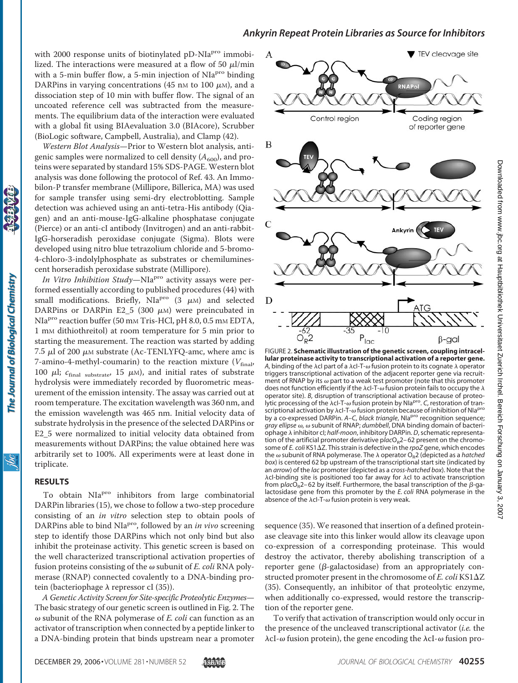with 2000 response units of biotinylated pD-NIa<sup>pro</sup> immobilized. The interactions were measured at a flow of 50  $\mu$ l/min with a 5-min buffer flow, a 5-min injection of NIa<sup>pro</sup> binding DARPins in varying concentrations (45 nm to 100  $\mu$ m), and a dissociation step of 10 min with buffer flow. The signal of an uncoated reference cell was subtracted from the measurements. The equilibrium data of the interaction were evaluated with a global fit using BIAevaluation 3.0 (BIAcore), Scrubber (BioLogic software, Campbell, Australia), and Clamp (42).

*Western Blot Analysis*—Prior to Western blot analysis, antigenic samples were normalized to cell density  $(A_{600})$ , and proteins were separated by standard 15% SDS-PAGE.Western blot analysis was done following the protocol of Ref. 43. An Immobilon-P transfer membrane (Millipore, Billerica, MA) was used for sample transfer using semi-dry electroblotting. Sample detection was achieved using an anti-tetra-His antibody (Qiagen) and an anti-mouse-IgG-alkaline phosphatase conjugate (Pierce) or an anti-cI antibody (Invitrogen) and an anti-rabbit-IgG-horseradish peroxidase conjugate (Sigma). Blots were developed using nitro blue tetrazolium chloride and 5-bromo-4-chloro-3-indolylphosphate as substrates or chemiluminescent horseradish peroxidase substrate (Millipore).

*In Vitro Inhibition Study*—NIa<sup>pro</sup> activity assays were performed essentially according to published procedures (44) with small modifications. Briefly, NIa<sup>pro</sup>  $(3 \mu)$  and selected DARPins or DARPin E2\_5 (300  $\mu$ M) were preincubated in NIa<sup>pro</sup> reaction buffer (50 mm Tris-HCl, pH 8.0, 0.5 mm EDTA, 1 mM dithiothreitol) at room temperature for 5 min prior to starting the measurement. The reaction was started by adding 7.5  $\mu$ l of 200  $\mu$ M substrate (Ac-TENLYFQ-amc, where amc is 7-amino-4-methyl-coumarin) to the reaction mixture  $(V_{final}$ , 100  $\mu$ l;  $c_{\text{final}}$  substrate, 15  $\mu$ M), and initial rates of substrate hydrolysis were immediately recorded by fluorometric measurement of the emission intensity. The assay was carried out at room temperature. The excitation wavelength was 360 nm, and the emission wavelength was 465 nm. Initial velocity data of substrate hydrolysis in the presence of the selected DARPins or E2\_5 were normalized to initial velocity data obtained from measurements without DARPins; the value obtained here was arbitrarily set to 100%. All experiments were at least done in triplicate.

#### **RESULTS**

To obtain NIa<sup>pro</sup> inhibitors from large combinatorial DARPin libraries (15), we chose to follow a two-step procedure consisting of an *in vitro* selection step to obtain pools of DARPins able to bind NIapro, followed by an *in vivo* screening step to identify those DARPins which not only bind but also inhibit the proteinase activity. This genetic screen is based on the well characterized transcriptional activation properties of fusion proteins consisting of the  $\omega$  subunit of *E. coli* RNA polymerase (RNAP) connected covalently to a DNA-binding protein (bacteriophage  $\lambda$  repressor cI (35)).

*A Genetic Activity Screen for Site-specific Proteolytic Enzymes*— The basic strategy of our genetic screen is outlined in Fig. 2. The ω subunit of the RNA polymerase of *E. coli* can function as an activator of transcription when connected by a peptide linker to a DNA-binding protein that binds upstream near a promoter



FIGURE 2. **Schematic illustration of the genetic screen, coupling intracellular proteinase activity to transcriptional activation of a reporter gene.** *A*, binding of the  $\lambda$ cl part of a  $\lambda$ cl-T- $\omega$  fusion protein to its cognate  $\lambda$  operator triggers transcriptional activation of the adjacent reporter gene via recruitment of RNAP by its  $\omega$  part to a weak test promoter (note that this promoter does not function efficiently if the  $\lambda$ cl-T- $\omega$  fusion protein fails to occupy the  $\lambda$ operator site). *B*, disruption of transcriptional activation because of proteolytic processing of the λcl-T-ω fusion protein by Nla<sup>pro</sup>. *C*, restoration of tran $s$ criptional activation by  $\lambda$ cl-T- $\omega$  fusion protein because of inhibition of Nla<sup>pro</sup> by a co-expressed DARPin. *A–C*, *black triangle*, NIapro recognition sequence; *gray ellipse ω, ω* subunit of RNAP; *dumbbell*, DNA binding domain of bacteriophage inhibitor cI; *half-moon*, inhibitory DARPin. *D*, schematic representation of the artificial promoter derivative placO<sub>R</sub>2-62 present on the chromosome of *E. coli* KS1ΔZ. This strain is defective in the *rpoZ* gene, which encodes the ω subunit of RNA polymerase. The λ operator O<sub>R</sub>2 (depicted as a *hatched box*) is centered 62 bp upstream of the transcriptional start site (indicated by an *arrow*) of the *lac* promoter (depicted as a *cross-hatched box*). Note that the  $\lambda$ cI-binding site is positioned too far away for  $\lambda$ cI to activate transcription from placO<sub>R</sub>2–62 by itself. Furthermore, the basal transcription of the  $\beta$ -galactosidase gene from this promoter by the *E. coli* RNA polymerase in the absence of the  $\lambda$ cl-T- $\omega$  fusion protein is very weak.

sequence (35). We reasoned that insertion of a defined proteinase cleavage site into this linker would allow its cleavage upon co-expression of a corresponding proteinase. This would destroy the activator, thereby abolishing transcription of a reporter gene ( $\beta$ -galactosidase) from an appropriately constructed promoter present in the chromosome of *E. coli* KS1Z (35). Consequently, an inhibitor of that proteolytic enzyme, when additionally co-expressed, would restore the transcription of the reporter gene.

To verify that activation of transcription would only occur in the presence of the uncleaved transcriptional activator (*i.e.* the  $\lambda$ cI- $\omega$  fusion protein), the gene encoding the  $\lambda$ cI- $\omega$  fusion pro-

The Journal of Biological Chemistry

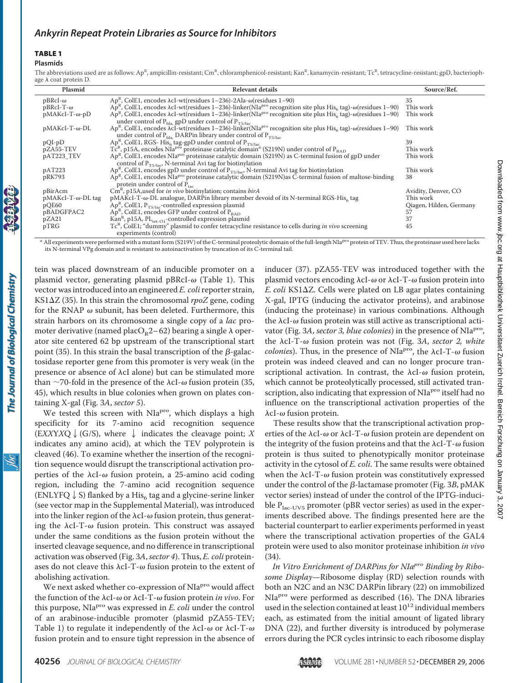#### TABLE 1

#### **Plasmids**

The abbreviations used are as follows: Ap<sup>R</sup>, ampicillin-resistant; Cm<sup>R</sup>, chloramphenicol-resistant; Kan<sup>R</sup>, kanamycin-resistant; Tc<sup>R</sup>, tetracycline-resistant; gpD, bacteriophage  $\lambda$  coat protein D.

| Plasmid                  | Relevant details                                                                                                                                                                                                                            | Source/Ref.             |
|--------------------------|---------------------------------------------------------------------------------------------------------------------------------------------------------------------------------------------------------------------------------------------|-------------------------|
| $pBRCI-\omega$           | Ap <sup>R</sup> , ColE1, encodes $\lambda$ cI-wt(residues 1–236)-2Ala- $\omega$ (residues 1–90)                                                                                                                                             | 35                      |
| $pBRCI-T-\omega$         | Ap <sup>R</sup> , ColE1, encodes $\lambda$ cI-wt(residues 1–236)-linker(NIa <sup>pro</sup> recognition site plus His <sub>6</sub> tag)- $\omega$ (residues 1–90)                                                                            | This work               |
| $pMAKcI-T-\omega-pD$     | Ap <sup>R</sup> , ColE1, encodes $\lambda$ cI-wt(residues 1–236)-linker(NIa <sup>pro</sup> recognition site plus His <sub>6</sub> tag)- $\omega$ (residues 1–90)<br>under control of $P_{bla}$ gpD under control of $P_{T5/1ac}$            | This work               |
| $pMAKcI-T-\omega-DL$     | Ap <sup>R</sup> , ColE1, encodes $\lambda$ cI-wt(residues 1–236)-linker(NIa <sup>pro</sup> recognition site plus His <sub>6</sub> tag)- $\omega$ (residues 1–90)<br>under control of $P_{bla}$ DARPin library under control of $P_{T5/1ac}$ | This work               |
| $pQI-pD$                 | Ap <sup>R</sup> , ColE1, RGS-His <sub>6</sub> tag-gpD under control of $P_{T5/loc}$                                                                                                                                                         | 39                      |
| pZA55-TEV                | $T\text{c}^R$ , p15A, encodes NIa <sup>pro</sup> proteinase catalytic domain <sup>a</sup> (S219N) under control of P <sub>BAD</sub>                                                                                                         | This work               |
| pAT223 TEV               | $Ap^{R}$ , ColE1, encodes NIa <sup>pro</sup> proteinase catalytic domain (S219N) as C-terminal fusion of gpD under<br>control of $P_{T5/12c}$ , N-terminal Avi tag for biotinylation                                                        | This work               |
| pAT223                   | Ap <sup>R</sup> , ColE1, encodes gpD under control of $P_{T5/1ac}$ , N-terminal Avi tag for biotinylation                                                                                                                                   | This work               |
| pRK793                   | $Ap^R$ , ColE1, encodes NIa <sup>pro</sup> proteinase catalytic domain (S219N) as C-terminal fusion of maltose-binding<br>protein under control of $P_{\text{toc}}$                                                                         | 38                      |
| pBirAcm                  | $\text{Cm}^R$ , p15A, used for <i>in vivo</i> biotinylation; contains <i>birA</i>                                                                                                                                                           | Avidity, Denver, CO     |
| $pMAKcI-T-\omega-DL$ tag | $p$ MAKcI-T- $\omega$ -DL analogue, DARPin library member devoid of its N-terminal RGS-His <sub>6</sub> tag                                                                                                                                 | This work               |
| pQE60                    | $Ap^{R}$ , ColE1, $P_{TS/12c}$ -controlled expression plasmid                                                                                                                                                                               | Qiagen, Hilden, Germany |
| pBADGFPAC2               | $ApR$ , ColE1, encodes GFP under control of $PBAD$                                                                                                                                                                                          | 57                      |
| pZA21                    | Kan <sup>R</sup> , p15A, PL <sub>tet-O1</sub> -controlled expression plasmid                                                                                                                                                                | 37                      |
| pTRG                     | $TcR$ , ColE1; "dummy" plasmid to confer tetracycline resistance to cells during in vivo screening                                                                                                                                          | 45                      |
|                          | experiments (control)                                                                                                                                                                                                                       |                         |

a All experiments were performed with a mutant form (S219V) of the C-terminal proteolytic domain of the full-length NIa<sup>pro</sup> protein of TEV. Thus, the proteinase used here lacks its N-terminal VPg domain and is resistant to autoinactivation by truncation of its C-terminal tail.

tein was placed downstream of an inducible promoter on a plasmid vector, generating plasmid pBRcI- $\omega$  (Table 1). This vector was introduced into an engineered *E. coli*reporter strain, KS1 $\Delta$ Z (35). In this strain the chromosomal *rpoZ* gene, coding for the RNAP  $\omega$  subunit, has been deleted. Furthermore, this strain harbors on its chromosome a single copy of a *lac* promoter derivative (named plac $O_R^2$ –62) bearing a single  $\lambda$  operator site centered 62 bp upstream of the transcriptional start point (35). In this strain the basal transcription of the  $\beta$ -galactosidase reporter gene from this promoter is very weak (in the presence or absence of  $\lambda$ cI alone) but can be stimulated more than  $\sim$ 70-fold in the presence of the  $\lambda$ cI- $\omega$  fusion protein (35, 45), which results in blue colonies when grown on plates containing X-gal (Fig. 3*A*, *sector 5*).

We tested this screen with NIa<sup>pro</sup>, which displays a high specificity for its 7-amino acid recognition sequence (EXXYXQ  $\downarrow$  (G/S), where  $\downarrow$  indicates the cleavage point; *X* indicates any amino acid), at which the TEV polyprotein is cleaved (46). To examine whether the insertion of the recognition sequence would disrupt the transcriptional activation properties of the  $\lambda$ cI- $\omega$  fusion protein, a 25-amino acid coding region, including the 7-amino acid recognition sequence (ENLYFQ  $\downarrow$  S) flanked by a His<sub>6</sub> tag and a glycine-serine linker (see vector map in the Supplemental Material), was introduced into the linker region of the  $\lambda$ cI- $\omega$  fusion protein, thus generating the  $\lambda$ cI-T- $\omega$  fusion protein. This construct was assayed under the same conditions as the fusion protein without the inserted cleavage sequence, and no difference in transcriptional activation was observed (Fig. 3*A*,*sector 4*). Thus, *E. coli* proteinases do not cleave this  $\lambda$ cI-T- $\omega$  fusion protein to the extent of abolishing activation.

We next asked whether co-expression of NIa<sup>pro</sup> would affect the function of the λcI-ω or λcI-T-ω fusion protein *in vivo*. For this purpose, NIapro was expressed in *E. coli* under the control of an arabinose-inducible promoter (plasmid pZA55-TEV; Table 1) to regulate it independently of the  $\lambda$ cI- $\omega$  or  $\lambda$ cI-T- $\omega$ fusion protein and to ensure tight repression in the absence of inducer (37). pZA55-TEV was introduced together with the plasmid vectors encoding  $\lambda$ cI- $\omega$  or  $\lambda$ cI-T- $\omega$  fusion protein into  $E.$  *coli* KS1 $\Delta$ Z. Cells were plated on LB agar plates containing X-gal, IPTG (inducing the activator proteins), and arabinose (inducing the proteinase) in various combinations. Although the  $\lambda$ cI- $\omega$  fusion protein was still active as transcriptional activator (Fig. 3*A*, *sector 3, blue colonies*) in the presence of NIapro, the λcI-T-ω fusion protein was not (Fig. 3*A, sector 2, white colonies*). Thus, in the presence of NIa<sup>pro</sup>, the  $\lambda cI-T-\omega$  fusion protein was indeed cleaved and can no longer procure transcriptional activation. In contrast, the  $\lambda cI$ - $\omega$  fusion protein, which cannot be proteolytically processed, still activated transcription, also indicating that expression of NIa<sup>pro</sup> itself had no influence on the transcriptional activation properties of the  $\lambda$ cI- $\omega$  fusion protein.

These results show that the transcriptional activation properties of the  $\lambda$ cI- $\omega$  or  $\lambda$ cI-T- $\omega$  fusion protein are dependent on the integrity of the fusion proteins and that the  $\lambda$ cI-T- $\omega$  fusion protein is thus suited to phenotypically monitor proteinase activity in the cytosol of *E. coli*. The same results were obtained when the  $\lambda$ cI-T- $\omega$  fusion protein was constitutively expressed under the control of the  $\beta$ -lactamase promoter (Fig. 3*B*, pMAK vector series) instead of under the control of the IPTG-inducible  $P<sub>lac-UV5</sub>$  promoter (pBR vector series) as used in the experiments described above. The findings presented here are the bacterial counterpart to earlier experiments performed in yeast where the transcriptional activation properties of the GAL4 protein were used to also monitor proteinase inhibition *in vivo* (34).

*In Vitro Enrichment of DARPins for NIapro Binding by Ribosome Display*—Ribosome display (RD) selection rounds with both an N2C and an N3C DARPin library (22) on immobilized NIapro were performed as described (16). The DNA libraries used in the selection contained at least  $10^{12}$  individual members each, as estimated from the initial amount of ligated library DNA (22), and further diversity is introduced by polymerase errors during the PCR cycles intrinsic to each ribosome display

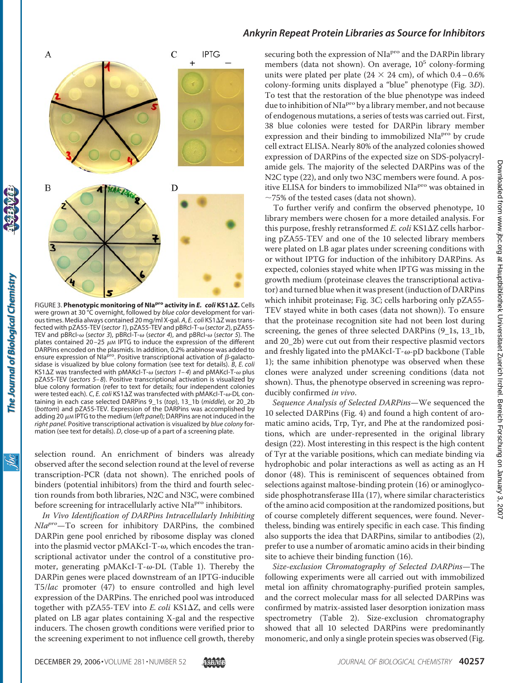

FIGURE 3. **Phenotypic monitoring of NIapro activity in** *E. coli* **KS1Z.** Cells were grown at 30 °C overnight, followed by *blue color* development for various times. Media always contained 20 mg/ml X-gal. A, *E. coli* KS1 AZ was transfected with pZA55-TEV (*sector 1*), pZA55-TEV and pBRcI-T-ω (sector 2), pZA55-TEV and pBRcl-ω (*sector 3*), pBRcl-T-ω (*sector 4*), and pBRcl-ω (*sector 5*). The plates contained 20-25  $\mu$ M IPTG to induce the expression of the different DARPins encoded on the plasmids. In addition, 0.2% arabinose was added to ensure expression of Nla<sup>pro</sup>. Positive transcriptional activation of  $\beta$ -galactosidase is visualized by blue colony formation (see text for details). *B*, *E. coli* KS1 $\Delta$ Z was transfected with pMAKcl-T- $\omega$  (sectors 1–4) and pMAKcl-T- $\omega$  plus pZA55-TEV (*sectors 5–8*). Positive transcriptional activation is visualized by blue colony formation (refer to text for details; four independent colonies were tested each). C, E. coli KS1ΔZ was transfected with pMAKcl-T-ω-DL containing in each case selected DARPins 9\_1s (*top*), 13\_1b (*middle*), or 20\_2b (*bottom*) and pZA55-TEV. Expression of the DARPins was accomplished by adding 20  $\mu$ M IPTG to the medium (*left panel*); DARPins are not induced in the *right panel.* Positive transcriptional activation is visualized by *blue colony* formation (see text for details). *D*, close-up of a part of a screening plate.

selection round. An enrichment of binders was already observed after the second selection round at the level of reverse transcription-PCR (data not shown). The enriched pools of binders (potential inhibitors) from the third and fourth selection rounds from both libraries, N2C and N3C, were combined before screening for intracellularly active NIa<sup>pro</sup> inhibitors.

*In Vivo Identification of DARPins Intracellularly Inhibiting NIapro*—To screen for inhibitory DARPins, the combined DARPin gene pool enriched by ribosome display was cloned into the plasmid vector pMAKcI-T- $\omega$ , which encodes the transcriptional activator under the control of a constitutive promoter, generating pMAKcI-T- $\omega$ -DL (Table 1). Thereby the DARPin genes were placed downstream of an IPTG-inducible T5/*lac* promoter (47) to ensure controlled and high level expression of the DARPins. The enriched pool was introduced together with pZA55-TEV into *E. coli* KS1 $\Delta$ Z, and cells were plated on LB agar plates containing X-gal and the respective inducers. The chosen growth conditions were verified prior to the screening experiment to not influence cell growth, thereby

securing both the expression of NIa<sup>pro</sup> and the DARPin library members (data not shown). On average,  $10<sup>5</sup>$  colony-forming units were plated per plate ( $24 \times 24$  cm), of which  $0.4 - 0.6\%$ colony-forming units displayed a "blue" phenotype (Fig. 3*D*). To test that the restoration of the blue phenotype was indeed due to inhibition of NIa<sup>pro</sup> by a library member, and not because of endogenous mutations, a series of tests was carried out. First, 38 blue colonies were tested for DARPin library member expression and their binding to immobilized NIapro by crude cell extract ELISA. Nearly 80% of the analyzed colonies showed expression of DARPins of the expected size on SDS-polyacrylamide gels. The majority of the selected DARPins was of the N2C type (22), and only two N3C members were found. A positive ELISA for binders to immobilized NIa<sup>pro</sup> was obtained in  $\sim$ 75% of the tested cases (data not shown).

To further verify and confirm the observed phenotype, 10 library members were chosen for a more detailed analysis. For this purpose, freshly retransformed *E. coli* KS1ΔZ cells harboring pZA55-TEV and one of the 10 selected library members were plated on LB agar plates under screening conditions with or without IPTG for induction of the inhibitory DARPins. As expected, colonies stayed white when IPTG was missing in the growth medium (proteinase cleaves the transcriptional activator) and turned blue when it was present (induction of DARPins which inhibit proteinase; Fig. 3*C*; cells harboring only pZA55- TEV stayed white in both cases (data not shown)). To ensure that the proteinase recognition site had not been lost during screening, the genes of three selected DARPins (9\_1s, 13\_1b, and 20\_2b) were cut out from their respective plasmid vectors and freshly ligated into the pMAKcI-T- $\omega$ -pD backbone (Table 1); the same inhibition phenotype was observed when these clones were analyzed under screening conditions (data not shown). Thus, the phenotype observed in screening was reproducibly confirmed *in vivo*.

*Sequence Analysis of Selected DARPins*—We sequenced the 10 selected DARPins (Fig. 4) and found a high content of aromatic amino acids, Trp, Tyr, and Phe at the randomized positions, which are under-represented in the original library design (22). Most interesting in this respect is the high content of Tyr at the variable positions, which can mediate binding via hydrophobic and polar interactions as well as acting as an H donor (48). This is reminiscent of sequences obtained from selections against maltose-binding protein (16) or aminoglycoside phosphotransferase IIIa (17), where similar characteristics of the amino acid composition at the randomized positions, but of course completely different sequences, were found. Nevertheless, binding was entirely specific in each case. This finding also supports the idea that DARPins, similar to antibodies (2), prefer to use a number of aromatic amino acids in their binding site to achieve their binding function (16).

*Size-exclusion Chromatography of Selected DARPins*—The following experiments were all carried out with immobilized metal ion affinity chromatography-purified protein samples, and the correct molecular mass for all selected DARPins was confirmed by matrix-assisted laser desorption ionization mass spectrometry (Table 2). Size-exclusion chromatography showed that all 10 selected DARPins were predominantly monomeric, and only a single protein species was observed (Fig.

<u>жі</u>

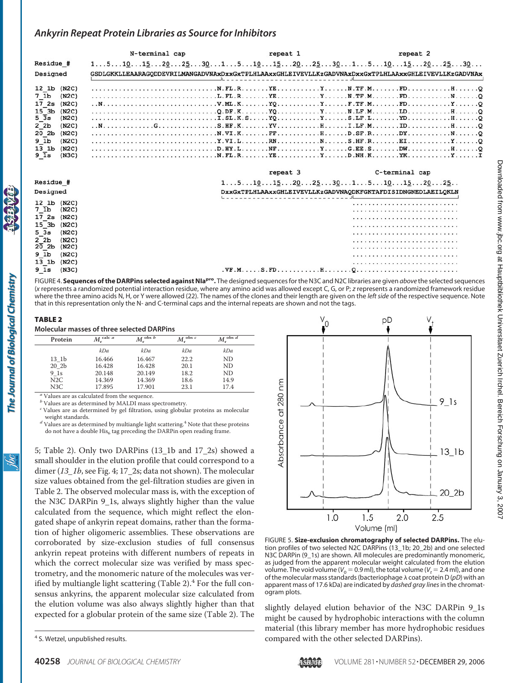|                             | N-terminal cap                                                                                                                                                                                                                                                                                                                                                                                                      | repeat 1 |  | repeat 2                                                                                                                        |  |
|-----------------------------|---------------------------------------------------------------------------------------------------------------------------------------------------------------------------------------------------------------------------------------------------------------------------------------------------------------------------------------------------------------------------------------------------------------------|----------|--|---------------------------------------------------------------------------------------------------------------------------------|--|
| Residue #                   | $151015202530151015202530151015202530$                                                                                                                                                                                                                                                                                                                                                                              |          |  |                                                                                                                                 |  |
| Designed                    | GSDLGKKLLEAARAGODDEVRILMANGADVNAxDxxGxTPLHLAAxxGHLEIVEVLLKzGADVNAxDxxGxTPLHLAAxxGHLEIVEVLLKzGADVNAx                                                                                                                                                                                                                                                                                                                 |          |  |                                                                                                                                 |  |
| (N2C)<br>$12$ 1b            |                                                                                                                                                                                                                                                                                                                                                                                                                     |          |  |                                                                                                                                 |  |
| 7 <sub>1b</sub><br>(N2C)    |                                                                                                                                                                                                                                                                                                                                                                                                                     |          |  |                                                                                                                                 |  |
| 172s<br>(N2C)               | $\mathbf{X}_1, \mathbf{X}_2, \ldots, \mathbf{X}_n, \ldots, \mathbf{X}_n, \mathbf{X}_n, \ldots, \mathbf{X}_n, \ldots, \mathbf{X}_n, \ldots, \mathbf{X}_n, \ldots, \mathbf{X}_n, \ldots, \mathbf{X}_n, \ldots, \mathbf{X}_n, \ldots, \mathbf{X}_n, \ldots, \mathbf{X}_n, \ldots, \mathbf{X}_n, \ldots, \mathbf{X}_n, \ldots, \mathbf{X}_n, \ldots, \mathbf{X}_n, \ldots, \mathbf{X}_n, \ldots, \mathbf{X}_n, \ldots,$ |          |  |                                                                                                                                 |  |
| 15 3b<br>(N2C)              |                                                                                                                                                                                                                                                                                                                                                                                                                     |          |  |                                                                                                                                 |  |
| $5\overline{3}s$<br>(N2C)   |                                                                                                                                                                                                                                                                                                                                                                                                                     |          |  |                                                                                                                                 |  |
| 22b<br>(N2C)                |                                                                                                                                                                                                                                                                                                                                                                                                                     |          |  |                                                                                                                                 |  |
| 20 2b<br>(N2C)              |                                                                                                                                                                                                                                                                                                                                                                                                                     |          |  |                                                                                                                                 |  |
| $9$ 1b<br>(N2C)             |                                                                                                                                                                                                                                                                                                                                                                                                                     |          |  |                                                                                                                                 |  |
| 13 <sub>1b</sub><br>(N2C)   |                                                                                                                                                                                                                                                                                                                                                                                                                     |          |  |                                                                                                                                 |  |
| $9 \bar{1}s$<br>$($ N3C $)$ |                                                                                                                                                                                                                                                                                                                                                                                                                     |          |  |                                                                                                                                 |  |
|                             |                                                                                                                                                                                                                                                                                                                                                                                                                     | repeat 3 |  | C-terminal cap                                                                                                                  |  |
| Residue #                   |                                                                                                                                                                                                                                                                                                                                                                                                                     |          |  | $1 \ldots 5 \ldots 10 \ldots 15 \ldots 20 \ldots 25 \ldots 30 \ldots 1 \ldots 5 \ldots 10 \ldots 15 \ldots 20 \ldots 25 \ldots$ |  |
| Designed                    |                                                                                                                                                                                                                                                                                                                                                                                                                     |          |  | DxxGxTPLHLAAxxGHLEIVEVLLKzGADVNAQDKFGKTAFDISIDNGNEDLAEILQKLN                                                                    |  |
| 12 1b (N2C)                 |                                                                                                                                                                                                                                                                                                                                                                                                                     |          |  |                                                                                                                                 |  |
| $7\bar{1}b$<br>(N2C)        |                                                                                                                                                                                                                                                                                                                                                                                                                     |          |  |                                                                                                                                 |  |
| 172s<br>(N2C)               |                                                                                                                                                                                                                                                                                                                                                                                                                     |          |  |                                                                                                                                 |  |
| $15$ $3b$<br>(N2C)          |                                                                                                                                                                                                                                                                                                                                                                                                                     |          |  |                                                                                                                                 |  |
| 5 <sub>3s</sub><br>(N2C)    |                                                                                                                                                                                                                                                                                                                                                                                                                     |          |  |                                                                                                                                 |  |
| 22b<br>(N2C)                |                                                                                                                                                                                                                                                                                                                                                                                                                     |          |  |                                                                                                                                 |  |
|                             |                                                                                                                                                                                                                                                                                                                                                                                                                     |          |  |                                                                                                                                 |  |
| $2\overline{0}$ 2b<br>(N2C) |                                                                                                                                                                                                                                                                                                                                                                                                                     |          |  |                                                                                                                                 |  |
| $9$ 1b<br>(N2C)             |                                                                                                                                                                                                                                                                                                                                                                                                                     |          |  |                                                                                                                                 |  |

FIGURE 4. **Sequences of the DARPins selected against NIapro.** The designed sequences for the N3C and N2C libraries are given *above* the selected sequences (*x* represents a randomized potential interaction residue, where any amino acid was allowed except C, G, or P; *z* represents a randomized framework residue where the three amino acids N, H, or Y were allowed (22). The names of the clones and their length are given on the *left side* of the respective sequence. Note that in this representation only the N- and C-terminal caps and the internal repeats are shown and not the tags.

 $.VF.M. \ldots S.FD. \ldots \ldots \ldots H \ldots$ 

#### TABLE 2 **Molecular masses of three selected DARPins**

 $(N3C)$ 

 $9 \overline{1}$ s

The Journal of Biological Chemistry

<u>івс</u>

| Protein  | $M_r^{\text{ calc }a}$ | obs b<br>$M_{\star}$ | $\lambda f$ obs c | $\lambda A$ obs d |  |
|----------|------------------------|----------------------|-------------------|-------------------|--|
|          | kDa                    | kDa                  | kDa               | kDa               |  |
| 13 1b    | 16.466                 | 16.467               | 22.2              | ND.               |  |
| $20\,2b$ | 16.428                 | 16.428               | 20.1              | ND                |  |
| 9 1s     | 20.148                 | 20.149               | 18.2              | <b>ND</b>         |  |
| N2C      | 14.369                 | 14.369               | 18.6              | 14.9              |  |
| N3C      | 17.895                 | 17.901               | 23.1              | 17.4              |  |

*<sup>a</sup>* Values are as calculated from the sequence.

*<sup>b</sup>* Values are as determined by MALDI mass spectrometry.

 $^c$  Values are as determined by gel filtration, using globular proteins as molecular weight standards. weight standards. *<sup>d</sup>* Values are as determined by multiangle light scattering.<sup>4</sup> Note that these proteins

do not have a double  $\mathrm{His}_6$  tag preceding the DARPin open reading frame.

5; Table 2). Only two DARPins (13\_1b and 17\_2s) showed a small shoulder in the elution profile that could correspond to a dimer (*13\_1b*, see Fig. 4; 17\_2s; data not shown). The molecular size values obtained from the gel-filtration studies are given in Table 2. The observed molecular mass is, with the exception of the N3C DARPin 9\_1s, always slightly higher than the value calculated from the sequence, which might reflect the elongated shape of ankyrin repeat domains, rather than the formation of higher oligomeric assemblies. These observations are corroborated by size-exclusion studies of full consensus ankyrin repeat proteins with different numbers of repeats in which the correct molecular size was verified by mass spectrometry, and the monomeric nature of the molecules was verified by multiangle light scattering (Table 2).<sup>4</sup> For the full consensus ankyrins, the apparent molecular size calculated from the elution volume was also always slightly higher than that



.0. . . . . . . . . . . . . . .

FIGURE 5. **Size-exclusion chromatography of selected DARPins.** The elution profiles of two selected N2C DARPins (13\_1b; 20\_2b) and one selected N3C DARPin (9\_1s) are shown. All molecules are predominantly monomeric, as judged from the apparent molecular weight calculated from the elution volume. The void volume ( $V_0 = 0.9$  ml), the total volume ( $V_t = 2.4$  ml), and one of the molecular mass standards (bacteriophage  $\lambda$  coat protein D ( $pD$ ) with an apparent mass of 17.6 kDa) are indicated by *dashed gray lines*in the chromatogram plots.

the elution volume was also always slightly higher than that slightly delayed elution behavior of the N3C DARPin 9\_1s<br>expected for a globular protein of the same size (Table 2). The smight be equal by hydrophobic interacti might be caused by hydrophobic interactions with the column material (this library member has more hydrophobic residues compared with the other selected DARPins). <sup>4</sup> S. Wetzel, unpublished results.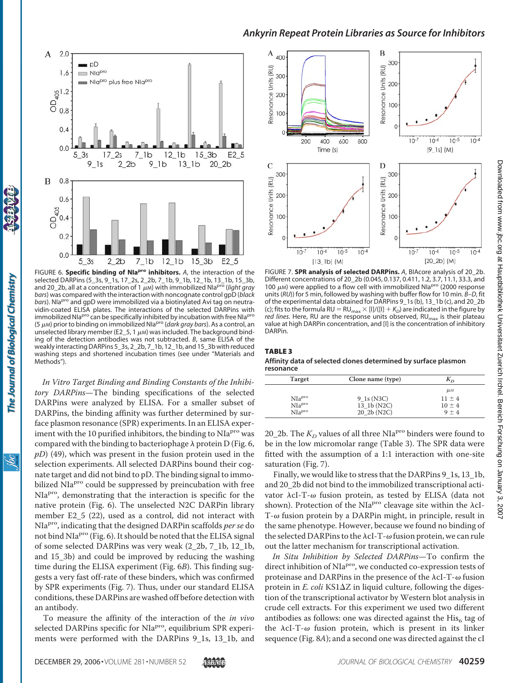

FIGURE 6. **Specific binding of NIapro inhibitors.** *A*, the interaction of the selected DARPins (5\_3s, 9\_1s, 17\_2s, 2\_2b, 7\_1b, 9\_1b, 12\_1b, 13\_1b, 15\_3b, and 20\_2b, all at a concentration of 1  $\mu$ m) with immobilized NIa<sup>pro</sup> (*light gray bars*) was compared with the interaction with noncognate control gpD (*black* bars). Nla<sup>pro</sup> and gpD were immobilized via a biotinylated Avi tag on neutravidin-coated ELISA plates. The interactions of the selected DARPins with immobilized NIa<sup>pro</sup> can be specifically inhibited by incubation with free NIa<sup>pro</sup> (5 μ<sub>M</sub>) prior to binding on immobilized Nla<sup>pro</sup> (*dark gray bars*). As a control, an unselected library member (E2\_5, 1  $\mu$ M) was included. The background binding of the detection antibodies was not subtracted. *B*, same ELISA of the weakly interacting DARPins 5\_3s, 2\_2b, 7\_1b, 12\_1b, and 15\_3b with reduced washing steps and shortened incubation times (see under "Materials and Methods").

The Journal of Biological Chemistry

<u>івс</u>

*In Vitro Target Binding and Binding Constants of the Inhibitory DARPins*—The binding specifications of the selected DARPins were analyzed by ELISA. For a smaller subset of DARPins, the binding affinity was further determined by surface plasmon resonance (SPR) experiments. In an ELISA experiment with the 10 purified inhibitors, the binding to NIa<sup>pro</sup> was compared with the binding to bacteriophage  $\lambda$  protein D (Fig. 6, *pD*) (49), which was present in the fusion protein used in the selection experiments. All selected DARPins bound their cognate target and did not bind to pD. The binding signal to immobilized NIa<sup>pro</sup> could be suppressed by preincubation with free NIa<sup>pro</sup>, demonstrating that the interaction is specific for the native protein (Fig. 6). The unselected N2C DARPin library member E2\_5 (22), used as a control, did not interact with NIapro, indicating that the designed DARPin scaffolds *per se* do not bind NIa<sup>pro</sup> (Fig. 6). It should be noted that the ELISA signal of some selected DARPins was very weak (2\_2b, 7\_1b, 12\_1b, and 15 3b) and could be improved by reducing the washing time during the ELISA experiment (Fig. 6*B*). This finding suggests a very fast off-rate of these binders, which was confirmed by SPR experiments (Fig. 7). Thus, under our standard ELISA conditions, these DARPins are washed off before detection with an antibody.

To measure the affinity of the interaction of the *in vivo* selected DARPins specific for NIa<sup>pro</sup>, equilibrium SPR experiments were performed with the DARPins 9\_1s, 13\_1b, and

## *Ankyrin Repeat Protein Libraries as Source for Inhibitors*



FIGURE 7. **SPR analysis of selected DARPins.** *A*, BIAcore analysis of 20\_2b. Different concentrations of 20\_2b (0.045, 0.137, 0.411, 1.2, 3.7, 11.1, 33.3, and 100  $\mu$ M) were applied to a flow cell with immobilized NIa<sup>pro</sup> (2000 response units (*RU*)) for 5 min, followed by washing with buffer flow for 10 min. *B–D*, fit of the experimental data obtained for DARPins 9\_1s (b), 13\_1b (c), and 20\_2b (c); fits to the formula RU =  $RU_{max} \times [I]/([I] + K_D)$  are indicated in the figure by *red lines*. Here, RU are the response units observed, RU<sub>max</sub> is their plateau value at high DARPin concentration, and [I] is the concentration of inhibitory DARPin.

#### TABLE 3

**Affinity data of selected clones determined by surface plasmon resonance**

| <b>Target</b>      | Clone name (type) | $\mathbf{r}^{\mathrm{u}}$ |
|--------------------|-------------------|---------------------------|
|                    |                   | $\mu$ <sub>M</sub>        |
| NIa <sup>pro</sup> | 9 1s (N3C)        | $11 \pm 4$                |
| NIa <sup>pro</sup> | 13 1b (N2C)       | $10 \pm 4$                |
| NIa <sup>pro</sup> | 20 2b (N2C)       | $9 \pm 4$                 |

20\_2b. The  $K_D$  values of all three NIa<sup>pro</sup> binders were found to be in the low micromolar range (Table 3). The SPR data were fitted with the assumption of a 1:1 interaction with one-site saturation (Fig. 7).

Finally, we would like to stress that the DARPins 9\_1s, 13\_1b, and 20\_2b did not bind to the immobilized transcriptional activator  $\lambda$ cI-T- $\omega$  fusion protein, as tested by ELISA (data not shown). Protection of the NIa<sup>pro</sup> cleavage site within the  $\lambda$ cI-T- $\omega$  fusion protein by a DARPin might, in principle, result in the same phenotype. However, because we found no binding of the selected DARPins to the  $\lambda$ cI-T- $\omega$  fusion protein, we can rule out the latter mechanism for transcriptional activation.

*In Situ Inhibition by Selected DARPins*—To confirm the direct inhibition of NIa<sup>pro</sup>, we conducted co-expression tests of proteinase and DARPins in the presence of the  $\lambda$ cI-T- $\omega$  fusion protein in  $E$ . coli KS1 $\Delta$ Z in liquid culture, following the digestion of the transcriptional activator by Western blot analysis in crude cell extracts. For this experiment we used two different antibodies as follows: one was directed against the  $His<sub>6</sub>$  tag of the  $\lambda$ cI-T- $\omega$  fusion protein, which is present in its linker sequence (Fig. 8*A*); and a second one was directed against the cI

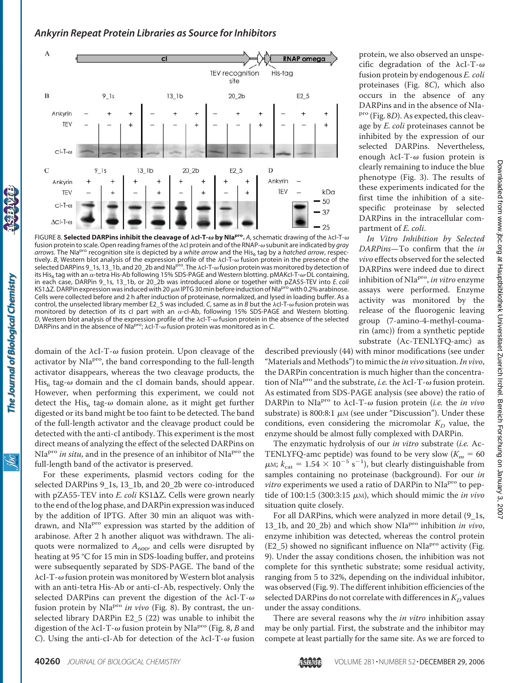

FIGURE 8. **Selected DARPins inhibit the cleavage of**  $\lambda$ **cl-T-** $\omega$  **by NIa<sup>pro</sup>. A, schematic drawing of the**  $\lambda$ **cl-T-** $\omega$ fusion protein to scale. Open reading frames of the  $\lambda$ cl protein and of the RNAP- $\omega$  subunit are indicated by  $gray$ *arrows.* The NIa<sup>pro</sup> recognition site is depicted by a *white arrow* and the His<sub>6</sub> tag by a *hatched arrow*, respectively. *B,* Western blot analysis of the expression profile of the λcl-T-ω fusion protein in the presence of the<br>selected DARPins 9\_1s, 13\_1b, and 20\_2b and Nla<sup>pro</sup>. The λcl-T-ω fusion protein was monitored by detection its His<sub>6</sub> tag with an  $\alpha$ -tetra His-Ab following 15% SDS-PAGE and Western blotting. pMAKcI-T- $\omega$ -DL containing, in each case, DARPin 9\_1s, 13\_1b, or 20\_2b was introduced alone or together with pZA55-TEV into *E. coli* KS1 $\Delta$ Z. DARPin expression was induced with 20  $\mu$ M IPTG 30 min before induction of NIa<sup>pro</sup> with 0.2% arabinose. Cells were collected before and 2 h after induction of proteinase, normalized, and lysed in loading buffer. As a control, the unselected library member E2\_5 was included. *C*, same as in *B* but the λcl-T-ω fusion protein was monitored by detection of its cI part with an  $\alpha$ -cI-Ab, following 15% SDS-PAGE and Western blotting. D, Western blot analysis of the expression profile of the  $\lambda$ cl-T- $\omega$  fusion protein in the absence of the selected DARPins and in the absence of Nla<sup>pro</sup>;  $\lambda$ cl-T- $\omega$  fusion protein was monitored as in *C*.

domain of the  $\lambda cI$ -T- $\omega$  fusion protein. Upon cleavage of the activator by NIa<sup>pro</sup>, the band corresponding to the full-length activator disappears, whereas the two cleavage products, the  $\mathrm{His}_6$  tag- $\omega$  domain and the cI domain bands, should appear. However, when performing this experiment, we could not detect the  $\mathrm{His}_6$  tag- $\omega$  domain alone, as it might get further digested or its band might be too faint to be detected. The band of the full-length activator and the cleavage product could be detected with the anti-cI antibody. This experiment is the most direct means of analyzing the effect of the selected DARPins on NIa<sup>pro</sup> in situ, and in the presence of an inhibitor of NIa<sup>pro</sup> the full-length band of the activator is preserved.

For these experiments, plasmid vectors coding for the selected DARPins 9\_1s, 13\_1b, and 20\_2b were co-introduced with pZA55-TEV into  $E.$  coli KS1 $\Delta$ Z. Cells were grown nearly to the end of the log phase, and DARPin expression was induced by the addition of IPTG. After 30 min an aliquot was withdrawn, and NIa<sup>pro</sup> expression was started by the addition of arabinose. After 2 h another aliquot was withdrawn. The aliquots were normalized to  $A_{600}$ , and cells were disrupted by heating at 95 °C for 15 min in SDS-loading buffer, and proteins were subsequently separated by SDS-PAGE. The band of the  $\lambda$ cI-T- $\omega$  fusion protein was monitored by Western blot analysis with an anti-tetra His-Ab or anti-cI-Ab, respectively. Only the selected DARPins can prevent the digestion of the  $\lambda cI-T-\omega$ fusion protein by NIa<sup>pro</sup> in vivo (Fig. 8). By contrast, the unselected library DARPin E2\_5 (22) was unable to inhibit the digestion of the  $\lambda$ cI-T- $\omega$  fusion protein by NIa<sup>pro</sup> (Fig. 8, *B* and *C*). Using the anti-cI-Ab for detection of the  $\lambda$ cI-T- $\omega$  fusion

protein, we also observed an unspecific degradation of the  $\lambda$ cI-T- $\omega$ fusion protein by endogenous *E. coli* proteinases (Fig. 8*C*), which also occurs in the absence of any DARPins and in the absence of NIapro (Fig. 8*D*). As expected, this cleavage by *E. coli* proteinases cannot be inhibited by the expression of our selected DARPins. Nevertheless, enough  $\lambda$ cI-T- $\omega$  fusion protein is clearly remaining to induce the blue phenotype (Fig. 3). The results of these experiments indicated for the first time the inhibition of a sitespecific proteinase by selected DARPins in the intracellular compartment of *E. coli*.

*In Vitro Inhibition by Selected DARPins*—To confirm that the *in vivo* effects observed for the selected DARPins were indeed due to direct inhibition of NIapro, *in vitro* enzyme assays were performed. Enzyme activity was monitored by the release of the fluorogenic leaving group (7-amino-4-methyl-coumarin (amc)) from a synthetic peptide substrate (Ac-TENLYFQ-amc) as

described previously (44) with minor modifications (see under "Materials and Methods") to mimic the *in vivo* situation. *In vivo*, the DARPin concentration is much higher than the concentration of NIa<sup>pro</sup> and the substrate, *i.e.* the  $\lambda$ cI-T- $\omega$  fusion protein. As estimated from SDS-PAGE analysis (see above) the ratio of DARPin to NIa<sup>pro</sup> to  $\lambda cI$ -T- $\omega$  fusion protein (*i.e.* the *in vivo* substrate) is 800:8:1  $\mu$ M (see under "Discussion"). Under these conditions, even considering the micromolar  $K_D$  value, the enzyme should be almost fully complexed with DARPin.

The enzymatic hydrolysis of our *in vitro* substrate (*i.e.* Ac-TENLYFQ-amc peptide) was found to be very slow  $(K_m = 60)$  $\mu$ M;  $k_{\text{cat}} = 1.54 \times 10^{-5} \text{ s}^{-1}$ ), but clearly distinguishable from samples containing no proteinase (background). For our *in vitro* experiments we used a ratio of DARPin to NIa<sup>pro</sup> to peptide of 100:1:5 (300:3:15  $\mu$ <sub>M</sub>), which should mimic the *in vivo* situation quite closely.

For all DARPins, which were analyzed in more detail (9\_1s, 13\_1b, and 20\_2b) and which show NIapro inhibition *in vivo*, enzyme inhibition was detected, whereas the control protein  $(E2_5)$  showed no significant influence on NIa<sup>pro</sup> activity (Fig. 9). Under the assay conditions chosen, the inhibition was not complete for this synthetic substrate; some residual activity, ranging from 5 to 32%, depending on the individual inhibitor, was observed (Fig. 9). The different inhibition efficiencies of the selected DARPins do not correlate with differences in  $K_D$  values under the assay conditions.

There are several reasons why the *in vitro* inhibition assay may be only partial. First, the substrate and the inhibitor may compete at least partially for the same site. As we are forced to

ibc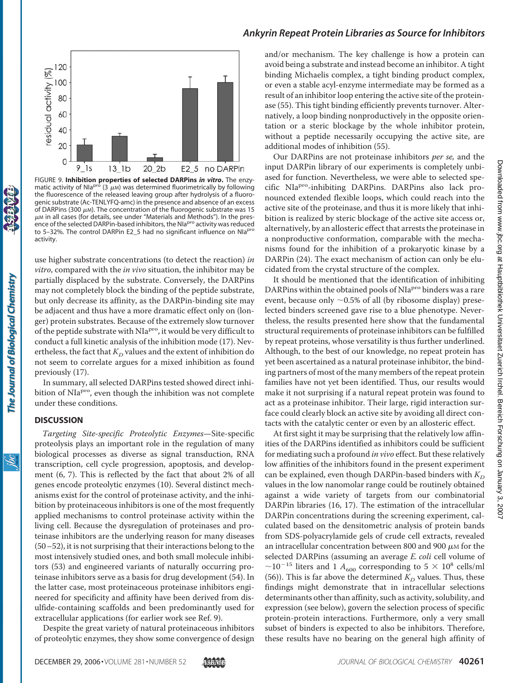

FIGURE 9. I**nhibition properties of selected DARPins** *in vitro***.** The enzy-<br>matic activity of NIa<sup>pro</sup> (3 µm) was determined fluorimetrically by following the fluorescence of the released leaving group after hydrolysis of a fluorogenic substrate (Ac-TENLYFQ-amc) in the presence and absence of an excess of DARPins (300  $\mu$ M). The concentration of the fluorogenic substrate was 15  $\mu$ M in all cases (for details, see under "Materials and Methods"). In the presence of the selected DARPin-based inhibitors, the NIa<sup>pro</sup> activity was reduced to 5-32%. The control DARPin E2\_5 had no significant influence on Nla<sup>pr</sup> activity.

use higher substrate concentrations (to detect the reaction) *in vitro*, compared with the *in vivo* situation, the inhibitor may be partially displaced by the substrate. Conversely, the DARPins may not completely block the binding of the peptide substrate, but only decrease its affinity, as the DARPin-binding site may be adjacent and thus have a more dramatic effect only on (longer) protein substrates. Because of the extremely slow turnover of the peptide substrate with NIa<sup>pro</sup>, it would be very difficult to conduct a full kinetic analysis of the inhibition mode (17). Nevertheless, the fact that  $K_D$  values and the extent of inhibition do not seem to correlate argues for a mixed inhibition as found previously (17).

In summary, all selected DARPins tested showed direct inhibition of NIa<sup>pro</sup>, even though the inhibition was not complete under these conditions.

#### **DISCUSSION**

*Targeting Site-specific Proteolytic Enzymes*—Site-specific proteolysis plays an important role in the regulation of many biological processes as diverse as signal transduction, RNA transcription, cell cycle progression, apoptosis, and development (6, 7). This is reflected by the fact that about 2% of all genes encode proteolytic enzymes (10). Several distinct mechanisms exist for the control of proteinase activity, and the inhibition by proteinaceous inhibitors is one of the most frequently applied mechanisms to control proteinase activity within the living cell. Because the dysregulation of proteinases and proteinase inhibitors are the underlying reason for many diseases (50–52), it is not surprising that their interactions belong to the most intensively studied ones, and both small molecule inhibitors (53) and engineered variants of naturally occurring proteinase inhibitors serve as a basis for drug development (54). In the latter case, most proteinaceous proteinase inhibitors engineered for specificity and affinity have been derived from disulfide-containing scaffolds and been predominantly used for extracellular applications (for earlier work see Ref. 9).

Despite the great variety of natural proteinaceous inhibitors of proteolytic enzymes, they show some convergence of design and/or mechanism. The key challenge is how a protein can avoid being a substrate and instead become an inhibitor. A tight binding Michaelis complex, a tight binding product complex, or even a stable acyl-enzyme intermediate may be formed as a result of an inhibitor loop entering the active site of the proteinase (55). This tight binding efficiently prevents turnover. Alternatively, a loop binding nonproductively in the opposite orientation or a steric blockage by the whole inhibitor protein, without a peptide necessarily occupying the active site, are additional modes of inhibition (55).

Our DARPins are not proteinase inhibitors *per se,* and the input DARPin library of our experiments is completely unbiased for function. Nevertheless, we were able to selected specific NIa<sup>pro</sup>-inhibiting DARPins. DARPins also lack pronounced extended flexible loops, which could reach into the active site of the proteinase, and thus it is more likely that inhibition is realized by steric blockage of the active site access or, alternatively, by an allosteric effect that arrests the proteinase in a nonproductive conformation, comparable with the mechanisms found for the inhibition of a prokaryotic kinase by a DARPin (24). The exact mechanism of action can only be elucidated from the crystal structure of the complex.

It should be mentioned that the identification of inhibiting DARPins within the obtained pools of NIa<sup>pro</sup> binders was a rare event, because only  $\sim$  0.5% of all (by ribosome display) preselected binders screened gave rise to a blue phenotype. Nevertheless, the results presented here show that the fundamental structural requirements of proteinase inhibitors can be fulfilled by repeat proteins, whose versatility is thus further underlined. Although, to the best of our knowledge, no repeat protein has yet been ascertained as a natural proteinase inhibitor, the binding partners of most of the many members of the repeat protein families have not yet been identified. Thus, our results would make it not surprising if a natural repeat protein was found to act as a proteinase inhibitor. Their large, rigid interaction surface could clearly block an active site by avoiding all direct contacts with the catalytic center or even by an allosteric effect.

At first sight it may be surprising that the relatively low affinities of the DARPins identified as inhibitors could be sufficient for mediating such a profound *in vivo* effect. But these relatively low affinities of the inhibitors found in the present experiment can be explained, even though DARPin-based binders with  $K_D$ values in the low nanomolar range could be routinely obtained against a wide variety of targets from our combinatorial DARPin libraries (16, 17). The estimation of the intracellular DARPin concentrations during the screening experiment, calculated based on the densitometric analysis of protein bands from SDS-polyacrylamide gels of crude cell extracts, revealed an intracellular concentration between 800 and 900  $\mu$ M for the selected DARPins (assuming an average *E. coli* cell volume of  $\sim$ 10<sup>-15</sup> liters and 1 *A*<sub>600</sub> corresponding to 5 × 10<sup>8</sup> cells/ml (56)). This is far above the determined  $K_D$  values. Thus, these findings might demonstrate that in intracellular selections determinants other than affinity, such as activity, solubility, and expression (see below), govern the selection process of specific protein-protein interactions. Furthermore, only a very small subset of binders is expected to also be inhibitors. Therefore, these results have no bearing on the general high affinity of

<u>жі</u>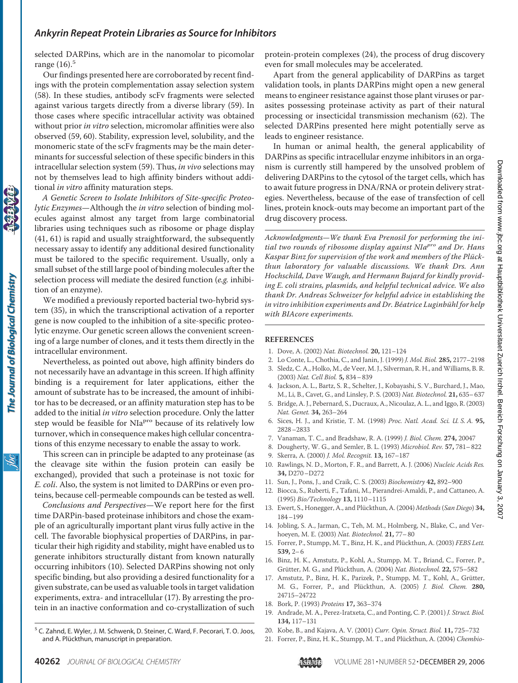selected DARPins, which are in the nanomolar to picomolar range  $(16)$ <sup>5</sup>

Our findings presented here are corroborated by recent findings with the protein complementation assay selection system (58). In these studies, antibody scFv fragments were selected against various targets directly from a diverse library (59). In those cases where specific intracellular activity was obtained without prior *in vitro* selection, micromolar affinities were also observed (59, 60). Stability, expression level, solubility, and the monomeric state of the scFv fragments may be the main determinants for successful selection of these specific binders in this intracellular selection system (59). Thus, *in vivo* selections may not by themselves lead to high affinity binders without additional *in vitro* affinity maturation steps.

*A Genetic Screen to Isolate Inhibitors of Site-specific Proteolytic Enzymes*—Although the *in vitro* selection of binding molecules against almost any target from large combinatorial libraries using techniques such as ribosome or phage display (41, 61) is rapid and usually straightforward, the subsequently necessary assay to identify any additional desired functionality must be tailored to the specific requirement. Usually, only a small subset of the still large pool of binding molecules after the selection process will mediate the desired function (*e.g.* inhibition of an enzyme).

We modified a previously reported bacterial two-hybrid system (35), in which the transcriptional activation of a reporter gene is now coupled to the inhibition of a site-specific proteolytic enzyme. Our genetic screen allows the convenient screening of a large number of clones, and it tests them directly in the intracellular environment.

Nevertheless, as pointed out above, high affinity binders do not necessarily have an advantage in this screen. If high affinity binding is a requirement for later applications, either the amount of substrate has to be increased, the amount of inhibitor has to be decreased, or an affinity maturation step has to be added to the initial *in vitro* selection procedure. Only the latter step would be feasible for NIa<sup>pro</sup> because of its relatively low turnover, which in consequence makes high cellular concentrations of this enzyme necessary to enable the assay to work.

This screen can in principle be adapted to any proteinase (as the cleavage site within the fusion protein can easily be exchanged), provided that such a proteinase is not toxic for *E. coli*. Also, the system is not limited to DARPins or even proteins, because cell-permeable compounds can be tested as well.

*Conclusions and Perspectives*—We report here for the first time DARPin-based proteinase inhibitors and chose the example of an agriculturally important plant virus fully active in the cell. The favorable biophysical properties of DARPins, in particular their high rigidity and stability, might have enabled us to generate inhibitors structurally distant from known naturally occurring inhibitors (10). Selected DARPins showing not only specific binding, but also providing a desired functionality for a given substrate, can be used as valuable tools in target validation experiments, extra- and intracellular (17). By arresting the protein in an inactive conformation and co-crystallization of such

<sup>5</sup> C. Zahnd, E. Wyler, J. M. Schwenk, D. Steiner, C. Ward, F. Pecorari, T. O. Joos, and A. Plückthun, manuscript in preparation.

protein-protein complexes (24), the process of drug discovery even for small molecules may be accelerated.

Apart from the general applicability of DARPins as target validation tools, in plants DARPins might open a new general means to engineer resistance against those plant viruses or parasites possessing proteinase activity as part of their natural processing or insecticidal transmission mechanism (62). The selected DARPins presented here might potentially serve as leads to engineer resistance.

In human or animal health, the general applicability of DARPins as specific intracellular enzyme inhibitors in an organism is currently still hampered by the unsolved problem of delivering DARPins to the cytosol of the target cells, which has to await future progress in DNA/RNA or protein delivery strategies. Nevertheless, because of the ease of transfection of cell lines, protein knock-outs may become an important part of the drug discovery process.

*Acknowledgments—We thank Eva Prenosil for performing the initial two rounds of ribosome display against NIapro and Dr. Hans* Kaspar Binz for supervision of the work and members of the Plück*thun laboratory for valuable discussions. We thank Drs. Ann Hochschild, Dave Waugh, and Hermann Bujard for kindly providing E. coli strains, plasmids, and helpful technical advice. We also thank Dr. Andreas Schweizer for helpful advice in establishing the* in vitro inhibition experiments and Dr. Béatrice Luginbühl for help *with BIAcore experiments.*

#### **REFERENCES**

- 1. Dove, A. (2002) *Nat. Biotechnol.* **20,** 121–124
- 2. Lo Conte, L., Chothia, C., and Janin, J. (1999) *J. Mol. Biol.* **285,** 2177–2198
- 3. Sledz, C. A., Holko, M., de Veer, M. J., Silverman, R. H., and Williams, B. R. (2003) *Nat. Cell Biol.* **5,** 834–839
- 4. Jackson, A. L., Bartz, S. R., Schelter, J., Kobayashi, S. V., Burchard, J., Mao, M., Li, B., Cavet, G., and Linsley, P. S. (2003) *Nat. Biotechnol.* **21,** 635–637
- 5. Bridge, A. J., Pebernard, S., Ducraux, A., Nicoulaz, A. L., and Iggo, R. (2003) *Nat. Genet.* **34,** 263–264
- 6. Sices, H. J., and Kristie, T. M. (1998) *Proc. Natl. Acad. Sci. U. S. A.* **95,** 2828–2833
- 7. Vanaman, T. C., and Bradshaw, R. A. (1999) *J. Biol. Chem.* **274,** 20047
- 8. Dougherty, W. G., and Semler, B. L. (1993) *Microbiol. Rev.* **57,** 781–822
- 9. Skerra, A. (2000) *J. Mol. Recognit.* **13,** 167–187
- 10. Rawlings, N. D., Morton, F. R., and Barrett, A. J. (2006) *Nucleic Acids Res.* **34,** D270–D272
- 11. Sun, J., Pons, J., and Craik, C. S. (2003) *Biochemistry* **42,** 892–900
- 12. Biocca, S., Ruberti, F., Tafani, M., Pierandrei-Amaldi, P., and Cattaneo, A. (1995) *Bio/Technology* **13,** 1110–1115
- 13. Ewert, S., Honegger, A., and Plückthun, A. (2004) *Methods* (*San Diego*) 34, 184–199
- 14. Jobling, S. A., Jarman, C., Teh, M. M., Holmberg, N., Blake, C., and Verhoeyen, M. E. (2003) *Nat. Biotechnol.* **21,** 77–80
- 15. Forrer, P., Stumpp, M. T., Binz, H. K., and Plückthun, A. (2003) *FEBS Lett.* **539,** 2–6
- 16. Binz, H. K., Amstutz, P., Kohl, A., Stumpp, M. T., Briand, C., Forrer, P., Grütter, M. G., and Plückthun, A. (2004) *Nat. Biotechnol.* **22,** 575–582
- 17. Amstutz, P., Binz, H. K., Parizek, P., Stumpp, M. T., Kohl, A., Grütter, M. G., Forrer, P., and Plückthun, A. (2005) *J. Biol. Chem.* 280, 24715–24722
- 18. Bork, P. (1993) *Proteins* **17,** 363–374
- 19. Andrade, M. A., Perez-Iratxeta, C., and Ponting, C. P. (2001) *J. Struct. Biol.* **134,** 117–131
- 20. Kobe, B., and Kajava, A. V. (2001) *Curr. Opin. Struct. Biol.* **11,** 725–732
- 21. Forrer, P., Binz, H. K., Stumpp, M. T., and Plückthun, A. (2004) *Chembio-*



The Journal of Biological Chemistry